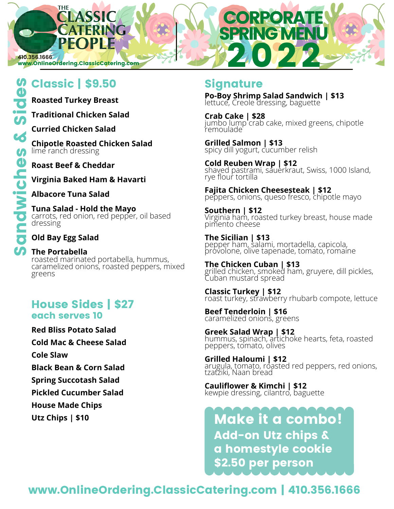**410.356.1666**

www.OnlineOrdering.ClassicCatering.com

## Classic | \$9.50 Signature

**THE** 

**Roasted Turkey Breast**

**Traditional Chicken Salad**

**Curried Chicken Salad**

**Chipotle Roasted Chicken Salad** lime ranch dressing

**Roast Beef & Cheddar**

**Virginia Baked Ham & Havarti**

**Albacore Tuna Salad**

**Tuna Salad - Hold the Mayo** carrots, red onion, red pepper, oil based dressing

**Old Bay Egg Salad**

## **The Portabella**

roasted marinated portabella, hummus, caramelized onions, roasted peppers, mixed greens

## House Sides | \$27 each serves 10

**Red Bliss Potato Salad**

**Cold Mac & Cheese Salad**

**Cole Slaw**

**Black Bean & Corn Salad**

**Spring Succotash Salad**

**Pickled Cucumber Salad**

**House Made Chips**

**Utz Chips | \$10**

## 2022

**Po-Boy Shrimp Salad Sandwich | \$13** lettuce, Creole dressing, baguette

PRING MEN

**CORPORAT** 

**Crab Cake | \$28** jumbo lump crab cake, mixed greens, chipotle remoulade

**Grilled Salmon | \$13** spicy dill yogurt, cucumber relish

**Cold Reuben Wrap | \$12** shaved pastrami, sauerkraut, Swiss, 1000 Island, rye flour tortilla

**Fajita Chicken Cheesesteak | \$12** peppers, onions, queso fresco, chipotle mayo

**Southern | \$12** Virginia ham, roasted turkey breast, house made pimento cheese

**The Sicilian | \$13** pepper ham, salami, mortadella, capicola, provolone, olive tapenade, tomato, romaine

**The Chicken Cuban | \$13** grilled chicken, smoked ham, gruyere, dill pickles, Cuban mustard spread

**Classic Turkey | \$12** roast turkey, strawberry rhubarb compote, lettuce

**Beef Tenderloin | \$16** caramelized onions, greens

**Greek Salad Wrap | \$12** hummus, spinach, artichoke hearts, feta, roasted peppers, tomato, olives

**Grilled Haloumi | \$12** arugula, tomato, roasted red peppers, red onions, tzatziki, Naan bread

**Cauliflower & Kimchi | \$12** kewpie dressing, cilantro, baguette

Make it a combo! Add-on Utz chips & a homestyle cookie \$2.50 per person

## www.OnlineOrdering.ClassicCatering.com | 410.356.1666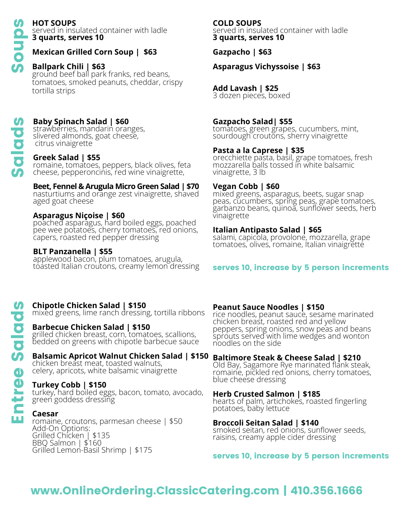Salads

## **HOT SOUPS**

served in insulated container with ladle **3 quarts, serves 10** 

## **Mexican Grilled Corn Soup | \$63**

## **Ballpark Chili | \$63**

ground beef ball park franks, red beans, tomatoes, smoked peanuts, cheddar, crispy tortilla strips

## **Baby Spinach Salad | \$60**

strawberries, mandarin oranges, slivered almonds, goat cheese, citrus vinaigrette

## **Greek Salad | \$55**

romaine, tomatoes, peppers, black olives, feta cheese, pepperoncinis, red wine vinaigrette,

## **Beet, Fennel & Arugula Micro Green Salad | \$70**

nasturtiums and orange zest vinaigrette, shaved aged goat cheese

## **Asparagus Niçoise | \$60**

poached asparagus, hard boiled eggs, poached pee wee potatoes, cherry tomatoes, red onions, capers, roasted red pepper dressing

## **BLT Panzanella | \$55**

applewood bacon, plum tomatoes, arugula, toasted Italian croutons, creamy lemon dressing

## **Chipotle Chicken Salad | \$150**

mixed greens, lime ranch dressing, tortilla ribbons

## **Barbecue Chicken Salad | \$150**

grilled chicken breast, corn, tomatoes, scallions, bedded on greens with chipotle barbecue sauce

## **Balsamic Apricot Walnut Chicken Salad | \$150**

chicken breast meat, toasted walnuts, celery, apricots, white balsamic vinaigrette

## **Turkey Cobb | \$150**

turkey, hard boiled eggs, bacon, tomato, avocado, green goddess dressing

## **Caesar**

romaine, croutons, parmesan cheese | \$50 Add-On Options: Grilled Chicken | \$135 BBQ Salmon | \$160 Grilled Lemon-Basil Shrimp | \$175

## **COLD SOUPS**

served in insulated container with ladle **3 quarts, serves 10**

**Gazpacho | \$63**

**Asparagus Vichyssoise | \$63**

## **Add Lavash | \$25**

3 dozen pieces, boxed

## **Gazpacho Salad| \$55**

tomatoes, green grapes, cucumbers, mint, sourdough croutons, sherry vinaigrette

## **Pasta a la Caprese | \$35**

orecchiette pasta, basil, grape tomatoes, fresh mozzarella balls tossed in white balsamic vinaigrette, 3 lb

## **Vegan Cobb | \$60**

mixed greens, asparagus, beets, sugar snap peas, cucumbers, spring peas, grape tomatoes, garbanzo beans, quinoa, sunflower seeds, herb vinaigrette

## **Italian Antipasto Salad | \$65**

salami, capicola, provolone, mozzarella, grape tomatoes, olives, romaine, Italian vinaigrette

## serves 10, increase by 5 person increments

## **Peanut Sauce Noodles | \$150**

rice noodles, peanut sauce, sesame marinated chicken breast, roasted red and yellow peppers, spring onions, snow peas and beans sprouts served with lime wedges and wonton noodles on the side

## **Baltimore Steak & Cheese Salad | \$210**

Old Bay, Sagamore Rye marinated flank steak, romaine, pickled red onions, cherry tomatoes, blue cheese dressing

## **Herb Crusted Salmon | \$185**

hearts of palm, artichokes, roasted fingerling potatoes, baby lettuce

## **Broccoli Seitan Salad | \$140**

smoked seitan, red onions, sunflower seeds, raisins, creamy apple cider dressing

serves 10, increase by 5 person increments

## www.OnlineOrdering.ClassicCatering.com | 410.356.1666

## Entree Salads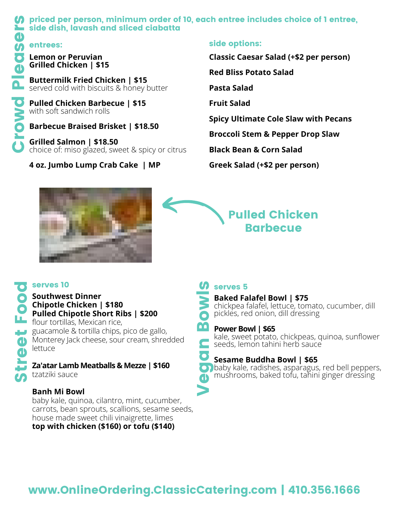# **Crowd Pleaser School Side dish, lavash contrees:**<br> **Crowd Chicken | \$1**<br>
Buttermilk Fried Chicken | \$1<br>
Buttermilk Fried Chicken Bark<br>
With soft sandwich rol<br>
Barbecue Braised B<br>
Grilled Salmon | \$18<br>
Concice of: miso gla

## **(A** priced per person, minimum order of 10, each entree includes choice of 1 entree, **Society** side dish, lavash and sliced ciabatta

## entrees:

**Grilled Chicken | \$15**

**Buttermilk Fried Chicken | \$15** served cold with biscuits & honey butter

**Pulled Chicken Barbecue | \$15** with soft sandwich rolls

**Barbecue Braised Brisket | \$18.50**

**Grilled Salmon | \$18.50** choice of: miso glazed, sweet & spicy or citrus

## **4 oz. Jumbo Lump Crab Cake | MP**

## side options:

**Classic Caesar Salad (+\$2 per person)**

**Red Bliss Potato Salad**

**Pasta Salad**

**Fruit Salad**

**Spicy Ultimate Cole Slaw with Pecans**

**Broccoli Stem & Pepper Drop Slaw**

**Black Bean & Corn Salad**

**Greek Salad (+\$2 per person)**



## Pulled Chicken Barbecue

## **Chipotle Chicken | \$180 Pulled Chipotle Short Ribs | \$200**

Southwest Dinner<br>
Conceptible Chicken<br>
Pulled Chipotle Sh<br>
flour tortillas, Mexica<br>
guacamole & tortilla<br>
Monterey Jack chees<br>
lettuce<br>
Za'atar Lamb Meath<br>
tzatziki sauce flour tortillas, Mexican rice, guacamole & tortilla chips, pico de gallo, Monterey Jack cheese, sour cream, shredded lettuce

## **Za'atar Lamb Meatballs & Mezze | \$160** tzatziki sauce

## **Banh Mi Bowl**

baby kale, quinoa, cilantro, mint, cucumber, carrots, bean sprouts, scallions, sesame seeds, house made sweet chili vinaigrette, limes **top with chicken (\$160) or tofu (\$140)**

## serves 10 serves 5



chickpea falafel, lettuce, tomato, cucumber, dill pickles, red onion, dill dressing

## **Power Bowl | \$65**

**Saked Falafel Bowl | \$75**<br>
chickpea falafel, lettuce, tom<br>
pickles, red onion, dill dress<br> **Power Bowl | \$65**<br>
kale, sweet potato, chickpea<br>
seeds, lemon tahini herb sa<br> **Sesame Buddha Bowl | \$**<br>
baby kale, radishes, aspa kale, sweet potato, chickpeas, quinoa, sunflower seeds, lemon tahini herb sauce

## **Sesame Buddha Bowl | \$65**